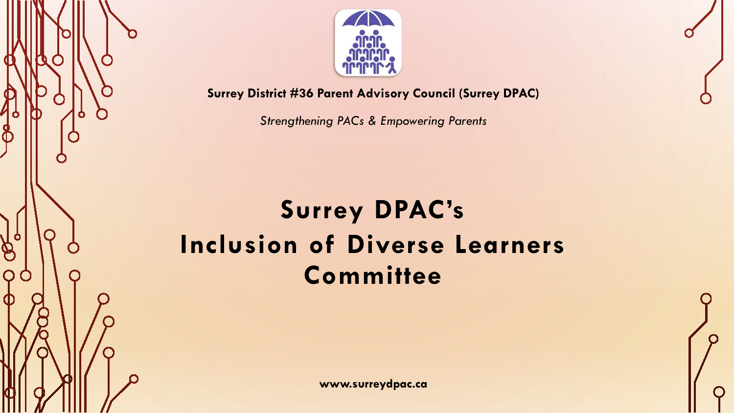

**Surrey District #36 Parent Advisory Council (Surrey DPAC)**

*Strengthening PACs & Empowering Parents*

# **Surrey DPAC's Inclusion of Diverse Learners Committee**

 $\bigotimes$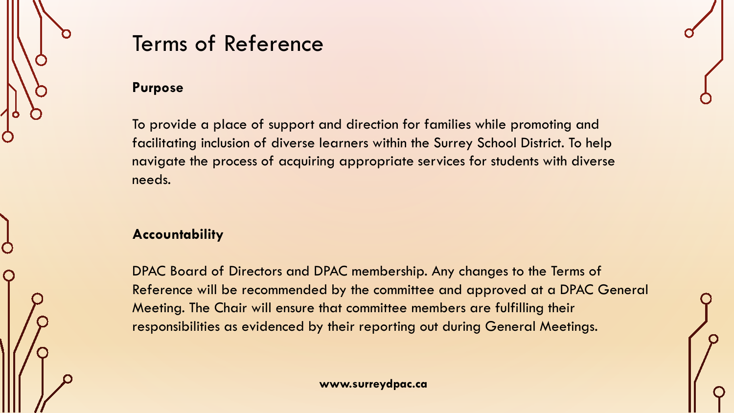

### Terms of Reference

#### **Purpose**

To provide a place of support and direction for families while promoting and facilitating inclusion of diverse learners within the Surrey School District. To help navigate the process of acquiring appropriate services for students with diverse needs.

#### **Accountability**

DPAC Board of Directors and DPAC membership. Any changes to the Terms of Reference will be recommended by the committee and approved at a DPAC General Meeting. The Chair will ensure that committee members are fulfilling their responsibilities as evidenced by their reporting out during General Meetings.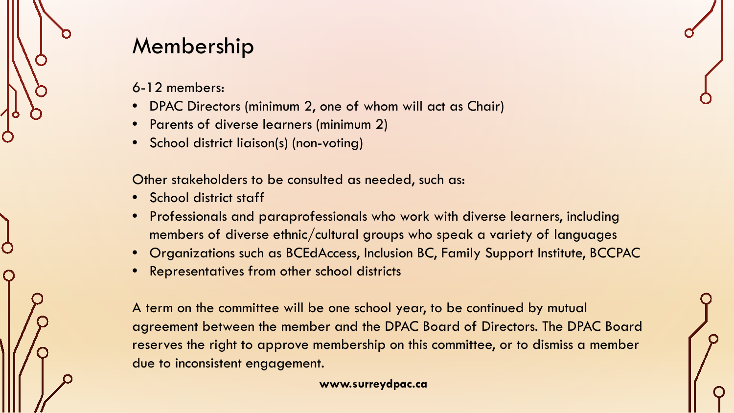### Membership

- 6-12 members:
- DPAC Directors (minimum 2, one of whom will act as Chair)
- Parents of diverse learners (minimum 2)
- School district liaison(s) (non-voting)

Other stakeholders to be consulted as needed, such as:

- School district staff
- Professionals and paraprofessionals who work with diverse learners, including members of diverse ethnic/cultural groups who speak a variety of languages
- Organizations such as BCEdAccess, Inclusion BC, Family Support Institute, BCCPAC
- Representatives from other school districts

A term on the committee will be one school year, to be continued by mutual agreement between the member and the DPAC Board of Directors. The DPAC Board reserves the right to approve membership on this committee, or to dismiss a member due to inconsistent engagement.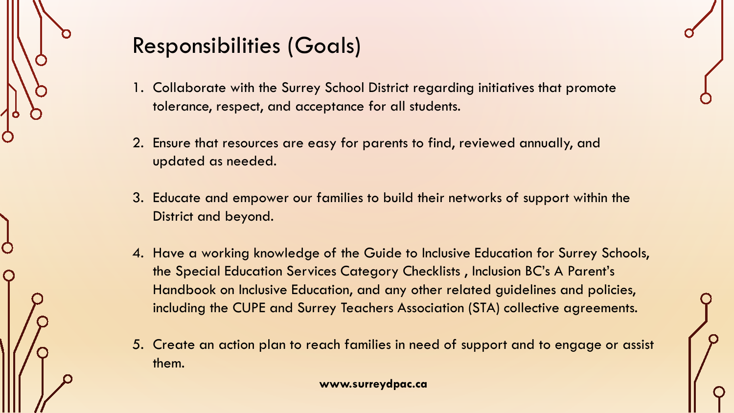

# Responsibilities (Goals)

- 1. Collaborate with the Surrey School District regarding initiatives that promote tolerance, respect, and acceptance for all students.
- 2. Ensure that resources are easy for parents to find, reviewed annually, and updated as needed.
- 3. Educate and empower our families to build their networks of support within the District and beyond.
- 4. Have a working knowledge of the Guide to Inclusive Education for Surrey Schools, the Special Education Services Category Checklists , Inclusion BC's A Parent's Handbook on Inclusive Education, and any other related guidelines and policies, including the CUPE and Surrey Teachers Association (STA) collective agreements.
- 5. Create an action plan to reach families in need of support and to engage or assist them.